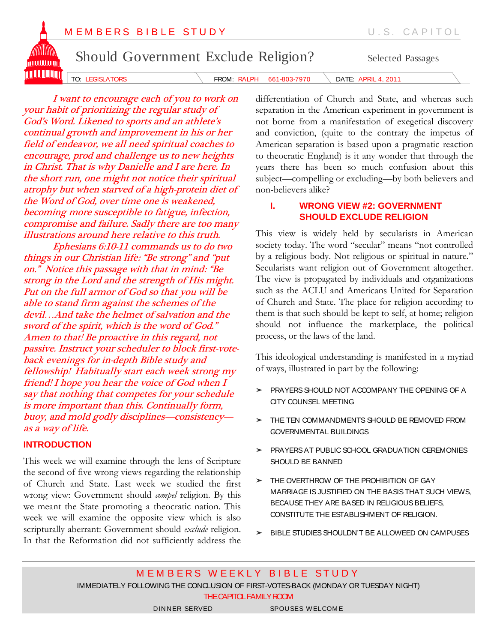

continual growth and improvement in his or her field of endeavor, we all need spiritual coaches to encourage, prod and challenge us to new heights in Christ. That is why Danielle and I are here. In the short run, one might not notice their spiritual atrophy but when starved of a high-protein diet of the Word of God, over time one is weakened, becoming more susceptible to fatigue, infection, compromise and failure. Sadly there are too many illustrations around here relative to this truth.

Ephesians 6:10-11 commands us to do two things in our Christian life: "Be strong" and "put on." Notice this passage with that in mind: "Be strong in the Lord and the strength of His might. Put on the full armor of God so that you will be able to stand firm against the schemes of the devil…And take the helmet of salvation and the sword of the spirit, which is the word of God." Amen to that! Be proactive in this regard, not passive. Instruct your scheduler to block first-voteback evenings for in-depth Bible study and fellowship! Habitually start each week strong my friend! I hope you hear the voice of God when I say that nothing that competes for your schedule is more important than this. Continually form, buoy, and mold godly disciplines—consistency as a way of life.

# **INTRODUCTION**

This week we will examine through the lens of Scripture the second of five wrong views regarding the relationship of Church and State. Last week we studied the first wrong view: Government should *compel* religion. By this we meant the State promoting a theocratic nation. This week we will examine the opposite view which is also scripturally aberrant: Government should *exclude* religion. In that the Reformation did not sufficiently address the differentiation of Church and State, and whereas such separation in the American experiment in government is not borne from a manifestation of exegetical discovery and conviction, (quite to the contrary the impetus of American separation is based upon a pragmatic reaction to theocratic England) is it any wonder that through the years there has been so much confusion about this subject—compelling or excluding—by both believers and non-believers alike?

# **I. WRONG VIEW #2: GOVERNMENT SHOULD EXCLUDE RELIGION**

This view is widely held by secularists in American society today. The word "secular" means "not controlled by a religious body. Not religious or spiritual in nature." Secularists want religion out of Government altogether. The view is propagated by individuals and organizations such as the ACLU and Americans United for Separation of Church and State. The place for religion according to them is that such should be kept to self, at home; religion should not influence the marketplace, the political process, or the laws of the land.

This ideological understanding is manifested in a myriad of ways, illustrated in part by the following:

- ➤ PRAYERS SHOULD NOT ACCOMPANY THE OPENING OF A CITY COUNSEL MEETING
- THE TEN COMMANDMENTS SHOULD BE REMOVED FROM GOVERNMENTAL BUILDINGS
- ➤ PRAYERS AT PUBLIC SCHOOL GRADUATION CEREMONIES SHOULD BE BANNED
- ➤ THE OVERTHROW OF THE PROHIBITION OF GAY MARRIAGE IS JUSTIFIED ON THE BASIS THAT SUCH VIEWS, BECAUSE THEY ARE BASED IN RELIGIOUS BELIEFS, CONSTITUTE THE ESTABLISHMENT OF RELIGION.
- BIBLE STUDIES SHOULDN'T BE ALLOWEED ON CAMPUSES

M E M B E R S W E E K L Y B I B L E S T U D Y IMMEDIATELY FOLLOWING THE CONCLUSION OF FIRST-VOTES-BACK (MONDAY OR TUESDAY NIGHT) THE CAPITOL FAMILY ROOM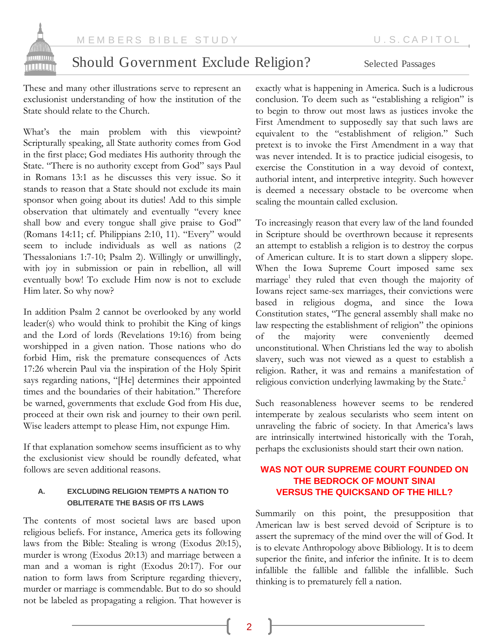

# Should Government Exclude Religion? Selected Passages

These and many other illustrations serve to represent an exclusionist understanding of how the institution of the State should relate to the Church.

What's the main problem with this viewpoint? Scripturally speaking, all State authority comes from God in the first place; God mediates His authority through the State. "There is no authority except from God" says Paul in Romans 13:1 as he discusses this very issue. So it stands to reason that a State should not exclude its main sponsor when going about its duties! Add to this simple observation that ultimately and eventually "every knee shall bow and every tongue shall give praise to God" (Romans 14:11; cf. Philippians 2:10, 11). "Every" would seem to include individuals as well as nations (2 Thessalonians 1:7-10; Psalm 2). Willingly or unwillingly, with joy in submission or pain in rebellion, all will eventually bow! To exclude Him now is not to exclude Him later. So why now?

In addition Psalm 2 cannot be overlooked by any world leader(s) who would think to prohibit the King of kings and the Lord of lords (Revelations 19:16) from being worshipped in a given nation. Those nations who do forbid Him, risk the premature consequences of Acts 17:26 wherein Paul via the inspiration of the Holy Spirit says regarding nations, "[He] determines their appointed times and the boundaries of their habitation." Therefore be warned, governments that exclude God from His due, proceed at their own risk and journey to their own peril. Wise leaders attempt to please Him, not expunge Him.

If that explanation somehow seems insufficient as to why the exclusionist view should be roundly defeated, what follows are seven additional reasons.

#### **A. EXCLUDING RELIGION TEMPTS A NATION TO OBLITERATE THE BASIS OF ITS LAWS**

The contents of most societal laws are based upon religious beliefs. For instance, America gets its following laws from the Bible: Stealing is wrong (Exodus 20:15), murder is wrong (Exodus 20:13) and marriage between a man and a woman is right (Exodus 20:17). For our nation to form laws from Scripture regarding thievery, murder or marriage is commendable. But to do so should not be labeled as propagating a religion. That however is

exactly what is happening in America. Such is a ludicrous conclusion. To deem such as "establishing a religion" is to begin to throw out most laws as justices invoke the First Amendment to supposedly say that such laws are equivalent to the "establishment of religion." Such pretext is to invoke the First Amendment in a way that was never intended. It is to practice judicial eisogesis, to exercise the Constitution in a way devoid of context, authorial intent, and interpretive integrity. Such however is deemed a necessary obstacle to be overcome when scaling the mountain called exclusion.

To increasingly reason that every law of the land founded in Scripture should be overthrown because it represents an attempt to establish a religion is to destroy the corpus of American culture. It is to start down a slippery slope. When the Iowa Supreme Court imposed same sex marriage<sup>1</sup> they ruled that even though the majority of Iowans reject same-sex marriages, their convictions were based in religious dogma, and since the Iowa Constitution states, "The general assembly shall make no law respecting the establishment of religion" the opinions of the majority were conveniently deemed unconstitutional. When Christians led the way to abolish slavery, such was not viewed as a quest to establish a religion. Rather, it was and remains a manifestation of religious conviction underlying lawmaking by the State.<sup>2</sup>

Such reasonableness however seems to be rendered intemperate by zealous secularists who seem intent on unraveling the fabric of society. In that America's laws are intrinsically intertwined historically with the Torah, perhaps the exclusionists should start their own nation.

## **WAS NOT OUR SUPREME COURT FOUNDED ON THE BEDROCK OF MOUNT SINAI VERSUS THE QUICKSAND OF THE HILL?**

Summarily on this point, the presupposition that American law is best served devoid of Scripture is to assert the supremacy of the mind over the will of God. It is to elevate Anthropology above Bibliology. It is to deem superior the finite, and inferior the infinite. It is to deem infallible the fallible and fallible the infallible. Such thinking is to prematurely fell a nation.

2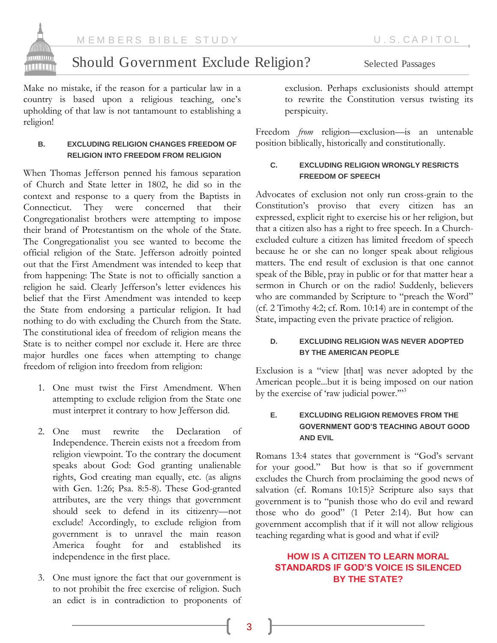

# Should Government Exclude Religion? Selected Passages

Make no mistake, if the reason for a particular law in a country is based upon a religious teaching, one"s upholding of that law is not tantamount to establishing a religion!

#### **B. EXCLUDING RELIGION CHANGES FREEDOM OF RELIGION INTO FREEDOM FROM RELIGION**

When Thomas Jefferson penned his famous separation of Church and State letter in 1802, he did so in the context and response to a query from the Baptists in They were concerned that their Congregationalist brothers were attempting to impose their brand of Protestantism on the whole of the State. The Congregationalist you see wanted to become the official religion of the State. Jefferson adroitly pointed out that the First Amendment was intended to keep that from happening: The State is not to officially sanction a religion he said. Clearly Jefferson"s letter evidences his belief that the First Amendment was intended to keep the State from endorsing a particular religion. It had nothing to do with excluding the Church from the State. The constitutional idea of freedom of religion means the State is to neither compel nor exclude it. Here are three major hurdles one faces when attempting to change freedom of religion into freedom from religion:

- 1. One must twist the First Amendment. When attempting to exclude religion from the State one must interpret it contrary to how Jefferson did.
- 2. One must rewrite the Declaration of Independence. Therein exists not a freedom from religion viewpoint. To the contrary the document speaks about God: God granting unalienable rights, God creating man equally, etc. (as aligns with Gen. 1:26; Psa. 8:5-8). These God-granted attributes, are the very things that government should seek to defend in its citizenry—not exclude! Accordingly, to exclude religion from government is to unravel the main reason America fought for and established its independence in the first place.
- 3. One must ignore the fact that our government is to not prohibit the free exercise of religion. Such an edict is in contradiction to proponents of

exclusion. Perhaps exclusionists should attempt to rewrite the Constitution versus twisting its perspicuity.

Freedom *from* religion—exclusion—is an untenable position biblically, historically and constitutionally.

#### **C. EXCLUDING RELIGION WRONGLY RESRICTS FREEDOM OF SPEECH**

Advocates of exclusion not only run cross-grain to the Constitution"s proviso that every citizen has an expressed, explicit right to exercise his or her religion, but that a citizen also has a right to free speech. In a Churchexcluded culture a citizen has limited freedom of speech because he or she can no longer speak about religious matters. The end result of exclusion is that one cannot speak of the Bible, pray in public or for that matter hear a sermon in Church or on the radio! Suddenly, believers who are commanded by Scripture to "preach the Word" (cf. 2 Timothy 4:2; cf. Rom. 10:14) are in contempt of the State, impacting even the private practice of religion.

#### **D. EXCLUDING RELIGION WAS NEVER ADOPTED BY THE AMERICAN PEOPLE**

Exclusion is a "view [that] was never adopted by the American people...but it is being imposed on our nation by the exercise of 'raw judicial power."<sup>33</sup>

#### **E. EXCLUDING RELIGION REMOVES FROM THE GOVERNMENT GOD'S TEACHING ABOUT GOOD AND EVIL**

Romans 13:4 states that government is "God's servant for your good." But how is that so if government excludes the Church from proclaiming the good news of salvation (cf. Romans 10:15)? Scripture also says that government is to "punish those who do evil and reward those who do good" (1 Peter 2:14). But how can government accomplish that if it will not allow religious teaching regarding what is good and what if evil?

### **HOW IS A CITIZEN TO LEARN MORAL STANDARDS IF GOD'S VOICE IS SILENCED BY THE STATE?**

3